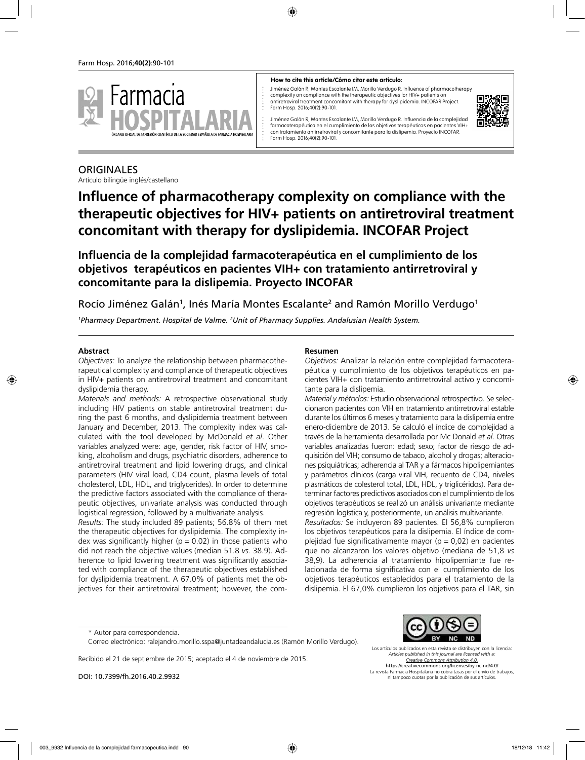

#### **How to cite this article/Cómo citar este artículo:**

Jiménez Galán R, Montes Escalante IM, Morillo Verdugo R. Influence of pharmacotherapy complexity on compliance with the therapeutic objectives for HIV+ patients on antiretroviral treatment concomitant with therapy for dyslipidemia. INCOFAR Project. Farm Hosp. 2016;40(2):90-101.



Jiménez Galán R, Montes Escalante IM, Morillo Verdugo R. Influencia de la complejidad farmacoterapéutica en el cumplimiento de los objetivos terapéuticos en pacientes VIH+ con tratamiento antirretroviral y concomitante para la dislipemia. Proyecto INCOFAR. Farm Hosp. 2016;40(2):90-101.

## **ORIGINALES**

Artículo bilingüe inglés/castellano

# **Influence of pharmacotherapy complexity on compliance with the therapeutic objectives for HIV+ patients on antiretroviral treatment concomitant with therapy for dyslipidemia. INCOFAR Project**

**Influencia de la complejidad farmacoterapéutica en el cumplimiento de los objetivos terapéuticos en pacientes VIH+ con tratamiento antirretroviral y concomitante para la dislipemia. Proyecto INCOFAR**

Rocío Jiménez Galán<sup>1</sup>, Inés María Montes Escalante<sup>2</sup> and Ramón Morillo Verdugo<sup>1</sup>

*1 Pharmacy Department. Hospital de Valme. 2 Unit of Pharmacy Supplies. Andalusian Health System.*

#### **Abstract**

*Objectives:* To analyze the relationship between pharmacotherapeutical complexity and compliance of therapeutic objectives in HIV+ patients on antiretroviral treatment and concomitant dyslipidemia therapy.

*Materials and methods:* A retrospective observational study including HIV patients on stable antiretroviral treatment during the past 6 months, and dyslipidemia treatment between January and December, 2013. The complexity index was calculated with the tool developed by McDonald *et al*. Other variables analyzed were: age, gender, risk factor of HIV, smoking, alcoholism and drugs, psychiatric disorders, adherence to antiretroviral treatment and lipid lowering drugs, and clinical parameters (HIV viral load, CD4 count, plasma levels of total cholesterol, LDL, HDL, and triglycerides). In order to determine the predictive factors associated with the compliance of therapeutic objectives, univariate analysis was conducted through logistical regression, followed by a multivariate analysis.

*Results:* The study included 89 patients; 56.8% of them met the therapeutic objectives for dyslipidemia. The complexity index was significantly higher ( $p = 0.02$ ) in those patients who did not reach the objective values (median 51.8 *vs.* 38.9). Adherence to lipid lowering treatment was significantly associated with compliance of the therapeutic objectives established for dyslipidemia treatment. A 67.0% of patients met the objectives for their antiretroviral treatment; however, the com-

#### **Resumen**

*Objetivos:* Analizar la relación entre complejidad farmacoterapéutica y cumplimiento de los objetivos terapéuticos en pacientes VIH+ con tratamiento antirretroviral activo y concomitante para la dislipemia.

*Material y métodos:* Estudio observacional retrospectivo. Se seleccionaron pacientes con VIH en tratamiento antirretroviral estable durante los últimos 6 meses y tratamiento para la dislipemia entre enero-diciembre de 2013. Se calculó el índice de complejidad a través de la herramienta desarrollada por Mc Donald *et al*. Otras variables analizadas fueron: edad; sexo; factor de riesgo de adquisición del VIH; consumo de tabaco, alcohol y drogas; alteraciones psiquiátricas; adherencia al TAR y a fármacos hipolipemiantes y parámetros clínicos (carga viral VIH, recuento de CD4, niveles plasmáticos de colesterol total, LDL, HDL, y triglicéridos). Para determinar factores predictivos asociados con el cumplimiento de los objetivos terapéuticos se realizó un análisis univariante mediante regresión logística y, posteriormente, un análisis multivariante.

*Resultados:* Se incluyeron 89 pacientes. El 56,8% cumplieron los objetivos terapéuticos para la dislipemia. El índice de complejidad fue significativamente mayor ( $p = 0.02$ ) en pacientes que no alcanzaron los valores objetivo (mediana de 51,8 *vs* 38,9). La adherencia al tratamiento hipolipemiante fue relacionada de forma significativa con el cumplimiento de los objetivos terapéuticos establecidos para el tratamiento de la dislipemia. El 67,0% cumplieron los objetivos para el TAR, sin

Recibido el 21 de septiembre de 2015; aceptado el 4 de noviembre de 2015.

DOI: 10.7399/fh.2016.40.2.9932



Los artículos publicados en esta revista se distribuyen con la licencia: *Articles published in this journal are licensed with a: Creative Commons Attribution 4.0.* https://creativecommons.org/licenses/by-nc-nd/4.0/ La revista Farmacia Hospitalaria no cobra tasas por el envío de trabajos, ni tampoco cuotas por la publicación de sus artículos.

<sup>\*</sup> Autor para correspondencia.

Correo electrónico: ralejandro.morillo.sspa@juntadeandalucia.es (Ramón Morillo Verdugo).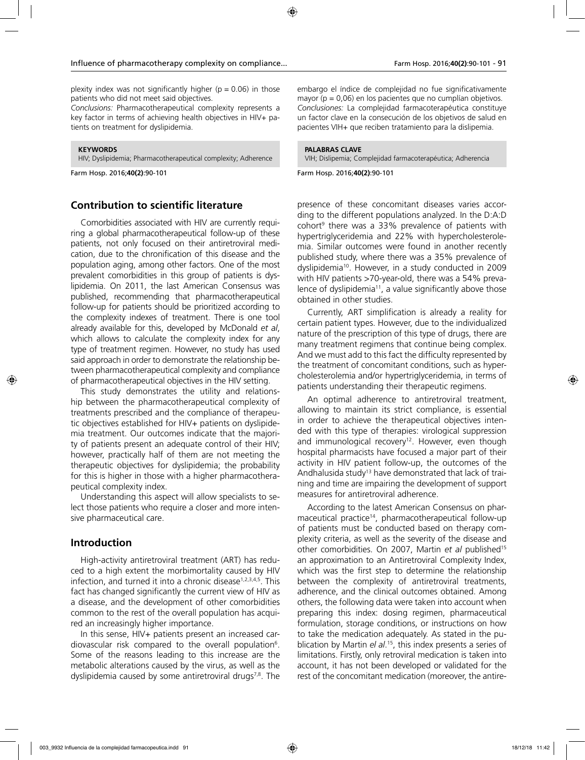plexity index was not significantly higher ( $p = 0.06$ ) in those patients who did not meet said objectives.

*Conclusions:* Pharmacotherapeutical complexity represents a key factor in terms of achieving health objectives in HIV+ patients on treatment for dyslipidemia.

**KEYWORDS** HIV; Dyslipidemia; Pharmacotherapeutical complexity; Adherence

Farm Hosp. 2016;**40(2)**:90-101

# **Contribution to scientific literature**

Comorbidities associated with HIV are currently requiring a global pharmacotherapeutical follow-up of these patients, not only focused on their antiretroviral medication, due to the chronification of this disease and the population aging, among other factors. One of the most prevalent comorbidities in this group of patients is dyslipidemia. On 2011, the last American Consensus was published, recommending that pharmacotherapeutical follow-up for patients should be prioritized according to the complexity indexes of treatment. There is one tool already available for this, developed by McDonald *et al*, which allows to calculate the complexity index for any type of treatment regimen. However, no study has used said approach in order to demonstrate the relationship between pharmacotherapeutical complexity and compliance of pharmacotherapeutical objectives in the HIV setting.

This study demonstrates the utility and relationship between the pharmacotherapeutical complexity of treatments prescribed and the compliance of therapeutic objectives established for HIV+ patients on dyslipidemia treatment. Our outcomes indicate that the majority of patients present an adequate control of their HIV; however, practically half of them are not meeting the therapeutic objectives for dyslipidemia; the probability for this is higher in those with a higher pharmacotherapeutical complexity index.

Understanding this aspect will allow specialists to select those patients who require a closer and more intensive pharmaceutical care.

#### **Introduction**

High-activity antiretroviral treatment (ART) has reduced to a high extent the morbimortality caused by HIV infection, and turned it into a chronic disease<sup>1,2,3,4,5</sup>. This fact has changed significantly the current view of HIV as a disease, and the development of other comorbidities common to the rest of the overall population has acquired an increasingly higher importance.

In this sense, HIV+ patients present an increased cardiovascular risk compared to the overall population<sup>6</sup>. Some of the reasons leading to this increase are the metabolic alterations caused by the virus, as well as the dyslipidemia caused by some antiretroviral drugs<sup>7,8</sup>. The

embargo el índice de complejidad no fue significativamente mayor ( $p = 0.06$ ) en los pacientes que no cumplían objetivos. *Conclusiones:* La complejidad farmacoterapéutica constituye un factor clave en la consecución de los objetivos de salud en pacientes VIH+ que reciben tratamiento para la dislipemia.

#### **PALABRAS CLAVE**

VIH; Dislipemia; Complejidad farmacoterapéutica; Adherencia

Farm Hosp. 2016;**40(2)**:90-101

presence of these concomitant diseases varies according to the different populations analyzed. In the D:A:D cohort9 there was a 33% prevalence of patients with hypertriglyceridemia and 22% with hypercholesterolemia. Similar outcomes were found in another recently published study, where there was a 35% prevalence of dyslipidemia<sup>10</sup>. However, in a study conducted in 2009 with HIV patients >70-year-old, there was a 54% prevalence of dyslipidemia<sup>11</sup>, a value significantly above those obtained in other studies.

Currently, ART simplification is already a reality for certain patient types. However, due to the individualized nature of the prescription of this type of drugs, there are many treatment regimens that continue being complex. And we must add to this fact the difficulty represented by the treatment of concomitant conditions, such as hypercholesterolemia and/or hypertriglyceridemia, in terms of patients understanding their therapeutic regimens.

An optimal adherence to antiretroviral treatment, allowing to maintain its strict compliance, is essential in order to achieve the therapeutical objectives intended with this type of therapies: virological suppression and immunological recovery<sup>12</sup>. However, even though hospital pharmacists have focused a major part of their activity in HIV patient follow-up, the outcomes of the Andhalusida study<sup>13</sup> have demonstrated that lack of training and time are impairing the development of support measures for antiretroviral adherence.

According to the latest American Consensus on pharmaceutical practice<sup>14</sup>, pharmacotherapeutical follow-up of patients must be conducted based on therapy complexity criteria, as well as the severity of the disease and other comorbidities. On 2007, Martin *et al* published15 an approximation to an Antiretroviral Complexity Index, which was the first step to determine the relationship between the complexity of antiretroviral treatments, adherence, and the clinical outcomes obtained. Among others, the following data were taken into account when preparing this index: dosing regimen, pharmaceutical formulation, storage conditions, or instructions on how to take the medication adequately. As stated in the publication by Martin *el al*. 15, this index presents a series of limitations. Firstly, only retroviral medication is taken into account, it has not been developed or validated for the rest of the concomitant medication (moreover, the antire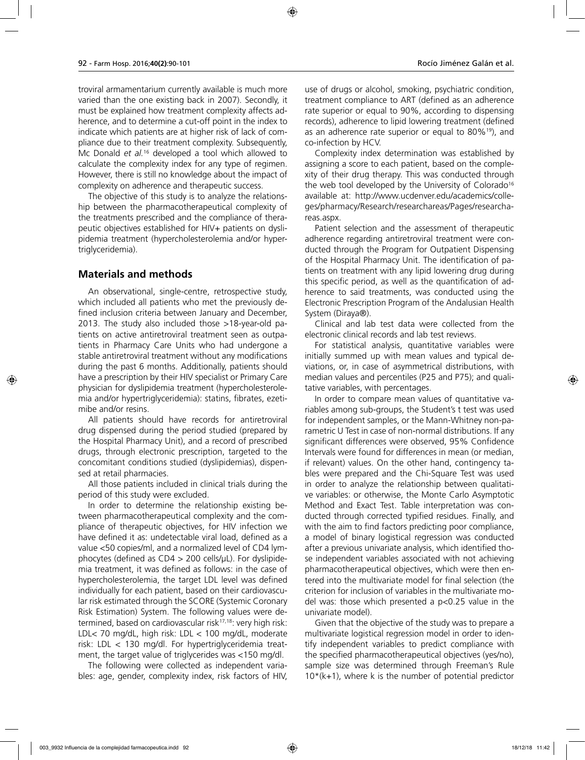troviral armamentarium currently available is much more varied than the one existing back in 2007). Secondly, it must be explained how treatment complexity affects adherence, and to determine a cut-off point in the index to indicate which patients are at higher risk of lack of compliance due to their treatment complexity. Subsequently, Mc Donald *et al.*16 developed a tool which allowed to calculate the complexity index for any type of regimen. However, there is still no knowledge about the impact of complexity on adherence and therapeutic success.

The objective of this study is to analyze the relationship between the pharmacotherapeutical complexity of the treatments prescribed and the compliance of therapeutic objectives established for HIV+ patients on dyslipidemia treatment (hypercholesterolemia and/or hypertriglyceridemia).

## **Materials and methods**

An observational, single-centre, retrospective study, which included all patients who met the previously defined inclusion criteria between January and December, 2013. The study also included those >18-year-old patients on active antiretroviral treatment seen as outpatients in Pharmacy Care Units who had undergone a stable antiretroviral treatment without any modifications during the past 6 months. Additionally, patients should have a prescription by their HIV specialist or Primary Care physician for dyslipidemia treatment (hypercholesterolemia and/or hypertriglyceridemia): statins, fibrates, ezetimibe and/or resins.

All patients should have records for antiretroviral drug dispensed during the period studied (prepared by the Hospital Pharmacy Unit), and a record of prescribed drugs, through electronic prescription, targeted to the concomitant conditions studied (dyslipidemias), dispensed at retail pharmacies.

All those patients included in clinical trials during the period of this study were excluded.

In order to determine the relationship existing between pharmacotherapeutical complexity and the compliance of therapeutic objectives, for HIV infection we have defined it as: undetectable viral load, defined as a value <50 copies/ml, and a normalized level of CD4 lymphocytes (defined as  $CD4 > 200$  cells/ $\mu$ L). For dyslipidemia treatment, it was defined as follows: in the case of hypercholesterolemia, the target LDL level was defined individually for each patient, based on their cardiovascular risk estimated through the SCORE (Systemic Coronary Risk Estimation) System. The following values were determined, based on cardiovascular risk<sup>17,18</sup>: very high risk: LDL< 70 mg/dL, high risk: LDL < 100 mg/dL, moderate risk: LDL < 130 mg/dl. For hypertriglyceridemia treatment, the target value of triglycerides was <150 mg/dl.

The following were collected as independent variables: age, gender, complexity index, risk factors of HIV, use of drugs or alcohol, smoking, psychiatric condition, treatment compliance to ART (defined as an adherence rate superior or equal to 90%, according to dispensing records), adherence to lipid lowering treatment (defined as an adherence rate superior or equal to 80%19), and co-infection by HCV.

Complexity index determination was established by assigning a score to each patient, based on the complexity of their drug therapy. This was conducted through the web tool developed by the University of Colorado<sup>16</sup> available at: http://www.ucdenver.edu/academics/colleges/pharmacy/Research/researchareas/Pages/researchareas.aspx.

Patient selection and the assessment of therapeutic adherence regarding antiretroviral treatment were conducted through the Program for Outpatient Dispensing of the Hospital Pharmacy Unit. The identification of patients on treatment with any lipid lowering drug during this specific period, as well as the quantification of adherence to said treatments, was conducted using the Electronic Prescription Program of the Andalusian Health System (Diraya®).

Clinical and lab test data were collected from the electronic clinical records and lab test reviews.

For statistical analysis, quantitative variables were initially summed up with mean values and typical deviations, or, in case of asymmetrical distributions, with median values and percentiles (P25 and P75); and qualitative variables, with percentages.

In order to compare mean values of quantitative variables among sub-groups, the Student's t test was used for independent samples, or the Mann-Whitney non-parametric U Test in case of non-normal distributions. If any significant differences were observed, 95% Confidence Intervals were found for differences in mean (or median, if relevant) values. On the other hand, contingency tables were prepared and the Chi-Square Test was used in order to analyze the relationship between qualitative variables: or otherwise, the Monte Carlo Asymptotic Method and Exact Test. Table interpretation was conducted through corrected typified residues. Finally, and with the aim to find factors predicting poor compliance, a model of binary logistical regression was conducted after a previous univariate analysis, which identified those independent variables associated with not achieving pharmacotherapeutical objectives, which were then entered into the multivariate model for final selection (the criterion for inclusion of variables in the multivariate model was: those which presented a  $p<0.25$  value in the univariate model).

Given that the objective of the study was to prepare a multivariate logistical regression model in order to identify independent variables to predict compliance with the specified pharmacotherapeutical objectives (yes/no), sample size was determined through Freeman's Rule  $10*(k+1)$ , where k is the number of potential predictor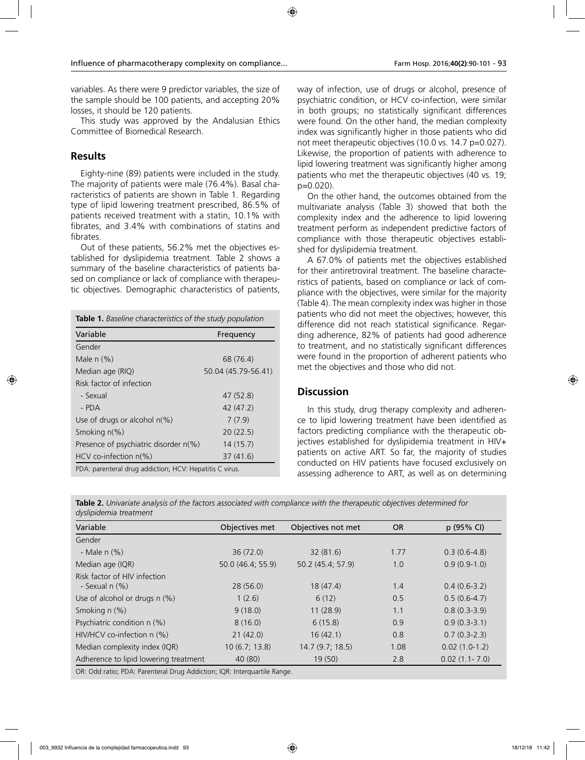variables. As there were 9 predictor variables, the size of the sample should be 100 patients, and accepting 20% losses, it should be 120 patients.

This study was approved by the Andalusian Ethics Committee of Biomedical Research.

# **Results**

Eighty-nine (89) patients were included in the study. The majority of patients were male (76.4%). Basal characteristics of patients are shown in Table 1. Regarding type of lipid lowering treatment prescribed, 86.5% of patients received treatment with a statin, 10.1% with fibrates, and 3.4% with combinations of statins and fibrates.

Out of these patients, 56.2% met the objectives established for dyslipidemia treatment. Table 2 shows a summary of the baseline characteristics of patients based on compliance or lack of compliance with therapeutic objectives. Demographic characteristics of patients,

| <b>Table 1.</b> Baseline characteristics of the study population |                     |  |  |  |
|------------------------------------------------------------------|---------------------|--|--|--|
| Variable                                                         | Frequency           |  |  |  |
| Gender                                                           |                     |  |  |  |
| Male $n$ $(\%)$                                                  | 68 (76.4)           |  |  |  |
| Median age (RIQ)                                                 | 50.04 (45.79-56.41) |  |  |  |
| Risk factor of infection                                         |                     |  |  |  |
| - Sexual                                                         | 47 (52.8)           |  |  |  |
| - PDA                                                            | 42 (47.2)           |  |  |  |
| Use of drugs or alcohol $n(\%)$                                  | 7(7.9)              |  |  |  |
| Smoking $n(\%)$                                                  | 20(22.5)            |  |  |  |
| Presence of psychiatric disorder n(%)                            | 14(15.7)            |  |  |  |
| $HCV$ co-infection $n\ll 0$<br>37(41.6)                          |                     |  |  |  |
| PDA: parenteral drug addiction; HCV: Hepatitis C virus.          |                     |  |  |  |

way of infection, use of drugs or alcohol, presence of psychiatric condition, or HCV co-infection, were similar in both groups; no statistically significant differences were found. On the other hand, the median complexity index was significantly higher in those patients who did not meet therapeutic objectives (10.0 vs. 14.7 p=0.027). Likewise, the proportion of patients with adherence to lipid lowering treatment was significantly higher among patients who met the therapeutic objectives (40 vs. 19; p=0.020).

On the other hand, the outcomes obtained from the multivariate analysis (Table 3) showed that both the complexity index and the adherence to lipid lowering treatment perform as independent predictive factors of compliance with those therapeutic objectives established for dyslipidemia treatment.

A 67.0% of patients met the objectives established for their antiretroviral treatment. The baseline characteristics of patients, based on compliance or lack of compliance with the objectives, were similar for the majority (Table 4). The mean complexity index was higher in those patients who did not meet the objectives; however, this difference did not reach statistical significance. Regarding adherence, 82% of patients had good adherence to treatment, and no statistically significant differences were found in the proportion of adherent patients who met the objectives and those who did not.

## **Discussion**

In this study, drug therapy complexity and adherence to lipid lowering treatment have been identified as factors predicting compliance with the therapeutic objectives established for dyslipidemia treatment in HIV+ patients on active ART. So far, the majority of studies conducted on HIV patients have focused exclusively on assessing adherence to ART, as well as on determining

| Table 2. Univariate analysis of the factors associated with compliance with the therapeutic objectives determined for |  |
|-----------------------------------------------------------------------------------------------------------------------|--|
| dyslipidemia treatment                                                                                                |  |

| Variable                                            | Objectives met    | Objectives not met | <b>OR</b> | p (95% CI)        |
|-----------------------------------------------------|-------------------|--------------------|-----------|-------------------|
| Gender                                              |                   |                    |           |                   |
| - Male $n$ $(\%)$                                   | 36(72.0)          | 32(81.6)           | 1.77      | $0.3(0.6-4.8)$    |
| Median age (IQR)                                    | 50.0 (46.4; 55.9) | 50.2 (45.4; 57.9)  | 1.0       | $0.9(0.9-1.0)$    |
| Risk factor of HIV infection<br>- Sexual $n$ $(\%)$ | 28(56.0)          | 18(47.4)           | 1.4       | $0.4(0.6-3.2)$    |
| Use of alcohol or drugs $n$ (%)                     | 1(2.6)            | 6(12)              | 0.5       | $0.5(0.6-4.7)$    |
| Smoking $n$ $(\%)$                                  | 9(18.0)           | 11(28.9)           | 1.1       | $0.8(0.3-3.9)$    |
| Psychiatric condition n (%)                         | 8(16.0)           | 6(15.8)            | 0.9       | $0.9(0.3-3.1)$    |
| $HIV/HCV$ co-infection n $(\%)$                     | 21(42.0)          | 16(42.1)           | 0.8       | $0.7(0.3-2.3)$    |
| Median complexity index (IQR)                       | 10(6.7; 13.8)     | 14.7(9.7; 18.5)    | 1.08      | $0.02(1.0-1.2)$   |
| Adherence to lipid lowering treatment               | 40 (80)           | 19 (50)            | 2.8       | $0.02(1.1 - 7.0)$ |

OR: Odd ratio; PDA: Parenteral Drug Addiction; IQR: Interquartile Range.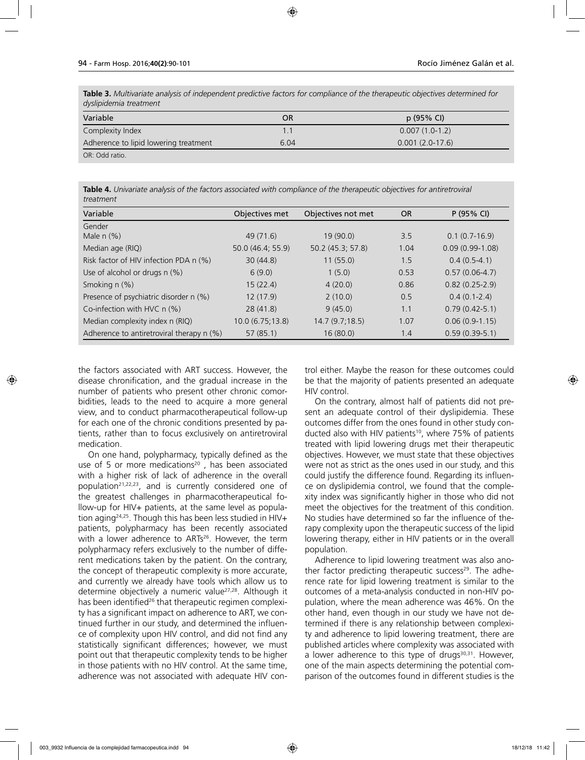**Table 3.** *Multivariate analysis of independent predictive factors for compliance of the therapeutic objectives determined for dyslipidemia treatment*

| Variable                              | OR   | p(95% Cl)         |
|---------------------------------------|------|-------------------|
| Complexity Index                      |      | $0.007(1.0-1.2)$  |
| Adherence to lipid lowering treatment | 6.04 | $0.001(2.0-17.6)$ |
| OR: Odd ratio.                        |      |                   |

**Table 4.** *Univariate analysis of the factors associated with compliance of the therapeutic objectives for antiretroviral treatment* 

| Variable                                    | Objectives met    | Objectives not met | <b>OR</b> | P(95% CI)          |
|---------------------------------------------|-------------------|--------------------|-----------|--------------------|
| Gender                                      |                   |                    |           |                    |
| Male $n$ $%$ )                              | 49 (71.6)         | 19(90.0)           | 3.5       | $0.1(0.7-16.9)$    |
| Median age (RIQ)                            | 50.0 (46.4; 55.9) | 50.2 (45.3; 57.8)  | 1.04      | $0.09(0.99-1.08)$  |
| Risk factor of HIV infection PDA n (%)      | 30(44.8)          | 11(55.0)           | 1.5       | $0.4(0.5-4.1)$     |
| Use of alcohol or drugs n (%)               | 6(9.0)            | 1(5.0)             | 0.53      | $0.57(0.06-4.7)$   |
| Smoking $n$ $(\%)$                          | 15(22.4)          | 4(20.0)            | 0.86      | $0.82(0.25-2.9)$   |
| Presence of psychiatric disorder n (%)      | 12(17.9)          | 2(10.0)            | 0.5       | $0.4(0.1-2.4)$     |
| Co-infection with HVC $n$ (%)               | 28(41.8)          | 9(45.0)            | 1.1       | $0.79(0.42 - 5.1)$ |
| Median complexity index n (RIQ)             | 10.0(6.75;13.8)   | 14.7(9.7;18.5)     | 1.07      | $0.06(0.9-1.15)$   |
| Adherence to antiretroviral therapy $n$ (%) | 57(85.1)          | 16(80.0)           | 1.4       | $0.59(0.39-5.1)$   |

the factors associated with ART success. However, the disease chronification, and the gradual increase in the number of patients who present other chronic comorbidities, leads to the need to acquire a more general view, and to conduct pharmacotherapeutical follow-up for each one of the chronic conditions presented by patients, rather than to focus exclusively on antiretroviral medication.

On one hand, polypharmacy, typically defined as the use of 5 or more medications<sup>20</sup>, has been associated with a higher risk of lack of adherence in the overall population<sup>21,22,23</sup>, and is currently considered one of the greatest challenges in pharmacotherapeutical follow-up for HIV+ patients, at the same level as population aging24,25. Though this has been less studied in HIV+ patients, polypharmacy has been recently associated with a lower adherence to ARTs<sup>26</sup>. However, the term polypharmacy refers exclusively to the number of different medications taken by the patient. On the contrary, the concept of therapeutic complexity is more accurate, and currently we already have tools which allow us to determine objectively a numeric value27,28. Although it has been identified<sup>26</sup> that therapeutic regimen complexity has a significant impact on adherence to ART, we continued further in our study, and determined the influence of complexity upon HIV control, and did not find any statistically significant differences; however, we must point out that therapeutic complexity tends to be higher in those patients with no HIV control. At the same time, adherence was not associated with adequate HIV control either. Maybe the reason for these outcomes could be that the majority of patients presented an adequate HIV control.

On the contrary, almost half of patients did not present an adequate control of their dyslipidemia. These outcomes differ from the ones found in other study conducted also with HIV patients<sup>10</sup>, where 75% of patients treated with lipid lowering drugs met their therapeutic objectives. However, we must state that these objectives were not as strict as the ones used in our study, and this could justify the difference found. Regarding its influence on dyslipidemia control, we found that the complexity index was significantly higher in those who did not meet the objectives for the treatment of this condition. No studies have determined so far the influence of therapy complexity upon the therapeutic success of the lipid lowering therapy, either in HIV patients or in the overall population.

Adherence to lipid lowering treatment was also another factor predicting therapeutic success<sup>29</sup>. The adherence rate for lipid lowering treatment is similar to the outcomes of a meta-analysis conducted in non-HIV population, where the mean adherence was 46%. On the other hand, even though in our study we have not determined if there is any relationship between complexity and adherence to lipid lowering treatment, there are published articles where complexity was associated with a lower adherence to this type of drugs<sup>30,31</sup>. However, one of the main aspects determining the potential comparison of the outcomes found in different studies is the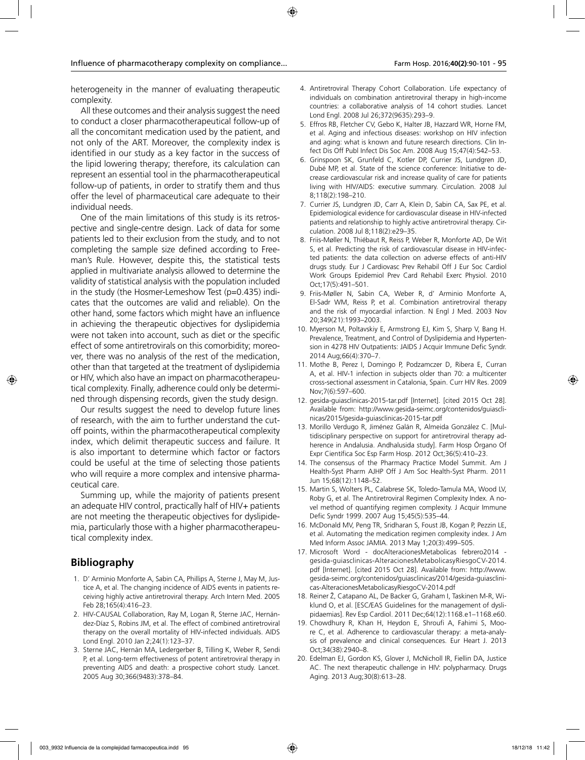heterogeneity in the manner of evaluating therapeutic complexity.

All these outcomes and their analysis suggest the need to conduct a closer pharmacotherapeutical follow-up of all the concomitant medication used by the patient, and not only of the ART. Moreover, the complexity index is identified in our study as a key factor in the success of the lipid lowering therapy; therefore, its calculation can represent an essential tool in the pharmacotherapeutical follow-up of patients, in order to stratify them and thus offer the level of pharmaceutical care adequate to their individual needs.

One of the main limitations of this study is its retrospective and single-centre design. Lack of data for some patients led to their exclusion from the study, and to not completing the sample size defined according to Freeman's Rule. However, despite this, the statistical tests applied in multivariate analysis allowed to determine the validity of statistical analysis with the population included in the study (the Hosmer-Lemeshow Test (p=0.435) indicates that the outcomes are valid and reliable). On the other hand, some factors which might have an influence in achieving the therapeutic objectives for dyslipidemia were not taken into account, such as diet or the specific effect of some antiretrovirals on this comorbidity; moreover, there was no analysis of the rest of the medication, other than that targeted at the treatment of dyslipidemia or HIV, which also have an impact on pharmacotherapeutical complexity. Finally, adherence could only be determined through dispensing records, given the study design.

Our results suggest the need to develop future lines of research, with the aim to further understand the cutoff points, within the pharmacotherapeutical complexity index, which delimit therapeutic success and failure. It is also important to determine which factor or factors could be useful at the time of selecting those patients who will require a more complex and intensive pharmaceutical care.

Summing up, while the majority of patients present an adequate HIV control, practically half of HIV+ patients are not meeting the therapeutic objectives for dyslipidemia, particularly those with a higher pharmacotherapeutical complexity index.

# **Bibliography**

- 1. D' Arminio Monforte A, Sabin CA, Phillips A, Sterne J, May M, Justice A, et al. The changing incidence of AIDS events in patients receiving highly active antiretroviral therapy. Arch Intern Med. 2005 Feb 28;165(4):416–23.
- 2. HIV-CAUSAL Collaboration, Ray M, Logan R, Sterne JAC, Hernández-Díaz S, Robins JM, et al. The effect of combined antiretroviral therapy on the overall mortality of HIV-infected individuals. AIDS Lond Engl. 2010 Jan 2;24(1):123–37.
- 3. Sterne JAC, Hernán MA, Ledergerber B, Tilling K, Weber R, Sendi P, et al. Long-term effectiveness of potent antiretroviral therapy in preventing AIDS and death: a prospective cohort study. Lancet. 2005 Aug 30;366(9483):378–84.
- 4. Antiretroviral Therapy Cohort Collaboration. Life expectancy of individuals on combination antiretroviral therapy in high-income countries: a collaborative analysis of 14 cohort studies. Lancet Lond Engl. 2008 Jul 26;372(9635):293–9.
- 5. Effros RB, Fletcher CV, Gebo K, Halter JB, Hazzard WR, Horne FM, et al. Aging and infectious diseases: workshop on HIV infection and aging: what is known and future research directions. Clin Infect Dis Off Publ Infect Dis Soc Am. 2008 Aug 15;47(4):542–53.
- 6. Grinspoon SK, Grunfeld C, Kotler DP, Currier JS, Lundgren JD, Dubé MP, et al. State of the science conference: Initiative to decrease cardiovascular risk and increase quality of care for patients living with HIV/AIDS: executive summary. Circulation. 2008 Jul 8;118(2):198–210.
- 7. Currier JS, Lundgren JD, Carr A, Klein D, Sabin CA, Sax PE, et al. Epidemiological evidence for cardiovascular disease in HIV-infected patients and relationship to highly active antiretroviral therapy. Circulation. 2008 Jul 8;118(2):e29–35.
- 8. Friis-Møller N, Thiébaut R, Reiss P, Weber R, Monforte AD, De Wit S, et al. Predicting the risk of cardiovascular disease in HIV-infected patients: the data collection on adverse effects of anti-HIV drugs study. Eur J Cardiovasc Prev Rehabil Off J Eur Soc Cardiol Work Groups Epidemiol Prev Card Rehabil Exerc Physiol. 2010 Oct;17(5):491–501.
- 9. Friis-Møller N, Sabin CA, Weber R, d' Arminio Monforte A, El-Sadr WM, Reiss P, et al. Combination antiretroviral therapy and the risk of myocardial infarction. N Engl J Med. 2003 Nov 20;349(21):1993–2003.
- 10. Myerson M, Poltavskiy E, Armstrong EJ, Kim S, Sharp V, Bang H. Prevalence, Treatment, and Control of Dyslipidemia and Hypertension in 4278 HIV Outpatients: JAIDS J Acquir Immune Defic Syndr. 2014 Aug;66(4):370–7.
- 11. Mothe B, Perez I, Domingo P, Podzamczer D, Ribera E, Curran A, et al. HIV-1 infection in subjects older than 70: a multicenter cross-sectional assessment in Catalonia, Spain. Curr HIV Res. 2009 Nov;7(6):597–600.
- 12. gesida-guiasclinicas-2015-tar.pdf [Internet]. [cited 2015 Oct 28]. Available from: http://www.gesida-seimc.org/contenidos/guiasclinicas/2015/gesida-guiasclinicas-2015-tar.pdf
- 13. Morillo Verdugo R, Jiménez Galán R, Almeida González C. [Multidisciplinary perspective on support for antiretroviral therapy adherence in Andalusia. Andhalusida study]. Farm Hosp Órgano Of Expr Científica Soc Esp Farm Hosp. 2012 Oct;36(5):410–23.
- 14. The consensus of the Pharmacy Practice Model Summit. Am J Health-Syst Pharm AJHP Off J Am Soc Health-Syst Pharm. 2011 Jun 15;68(12):1148–52.
- 15. Martin S, Wolters PL, Calabrese SK, Toledo-Tamula MA, Wood LV, Roby G, et al. The Antiretroviral Regimen Complexity Index. A novel method of quantifying regimen complexity. J Acquir Immune Defic Syndr 1999. 2007 Aug 15;45(5):535–44.
- 16. McDonald MV, Peng TR, Sridharan S, Foust JB, Kogan P, Pezzin LE, et al. Automating the medication regimen complexity index. J Am Med Inform Assoc JAMIA. 2013 May 1;20(3):499–505.
- 17. Microsoft Word docAlteracionesMetabolicas febrero2014 gesida-guiasclinicas-AlteracionesMetabolicasyRiesgoCV-2014. pdf [Internet]. [cited 2015 Oct 28]. Available from: http://www. gesida-seimc.org/contenidos/guiasclinicas/2014/gesida-guiasclinicas-AlteracionesMetabolicasyRiesgoCV-2014.pdf
- 18. Reiner Ž, Catapano AL, De Backer G, Graham I, Taskinen M-R, Wiklund O, et al. [ESC/EAS Guidelines for the management of dyslipidaemias]. Rev Esp Cardiol. 2011 Dec;64(12):1168.e1–1168.e60.
- 19. Chowdhury R, Khan H, Heydon E, Shroufi A, Fahimi S, Moore C, et al. Adherence to cardiovascular therapy: a meta-analysis of prevalence and clinical consequences. Eur Heart J. 2013 Oct;34(38):2940–8.
- 20. Edelman EJ, Gordon KS, Glover J, McNicholl IR, Fiellin DA, Justice AC. The next therapeutic challenge in HIV: polypharmacy. Drugs Aging. 2013 Aug;30(8):613–28.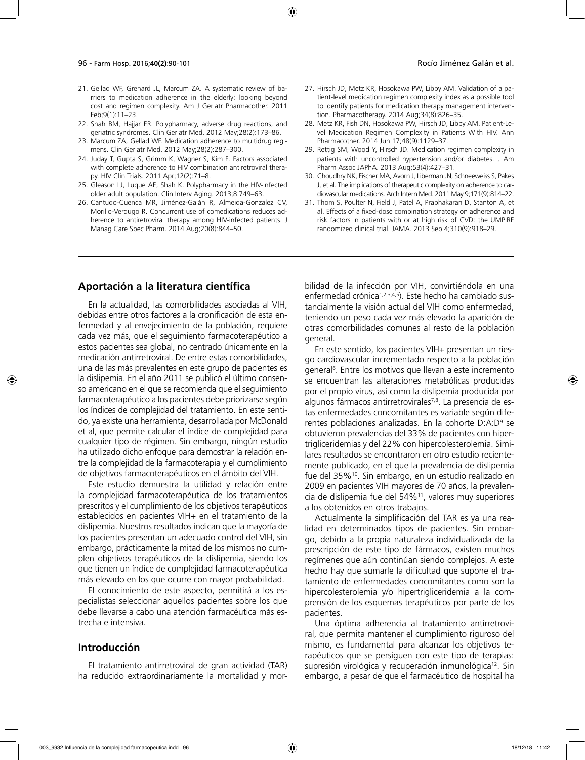- 21. Gellad WF, Grenard JL, Marcum ZA. A systematic review of barriers to medication adherence in the elderly: looking beyond cost and regimen complexity. Am J Geriatr Pharmacother. 2011 Feb;9(1):11–23.
- 22. Shah BM, Hajjar ER. Polypharmacy, adverse drug reactions, and geriatric syndromes. Clin Geriatr Med. 2012 May;28(2):173–86.
- 23. Marcum ZA, Gellad WF. Medication adherence to multidrug regimens. Clin Geriatr Med. 2012 May;28(2):287–300.
- 24. Juday T, Gupta S, Grimm K, Wagner S, Kim E. Factors associated with complete adherence to HIV combination antiretroviral therapy. HIV Clin Trials. 2011 Apr;12(2):71–8.
- 25. Gleason LJ, Luque AE, Shah K. Polypharmacy in the HIV-infected older adult population. Clin Interv Aging. 2013;8:749–63.
- 26. Cantudo-Cuenca MR, Jiménez-Galán R, Almeida-Gonzalez CV, Morillo-Verdugo R. Concurrent use of comedications reduces adherence to antiretroviral therapy among HIV-infected patients. J Manag Care Spec Pharm. 2014 Aug;20(8):844–50.
- 27. Hirsch JD, Metz KR, Hosokawa PW, Libby AM. Validation of a patient-level medication regimen complexity index as a possible tool to identify patients for medication therapy management intervention. Pharmacotherapy. 2014 Aug;34(8):826–35.
- 28. Metz KR, Fish DN, Hosokawa PW, Hirsch JD, Libby AM. Patient-Level Medication Regimen Complexity in Patients With HIV. Ann Pharmacother. 2014 Jun 17;48(9):1129–37.
- 29. Rettig SM, Wood Y, Hirsch JD. Medication regimen complexity in patients with uncontrolled hypertension and/or diabetes. J Am Pharm Assoc JAPhA. 2013 Aug;53(4):427–31.
- 30. Choudhry NK, Fischer MA, Avorn J, Liberman JN, Schneeweiss S, Pakes J, et al. The implications of therapeutic complexity on adherence to cardiovascular medications. Arch Intern Med. 2011 May 9;171(9):814–22.
- 31. Thom S, Poulter N, Field J, Patel A, Prabhakaran D, Stanton A, et al. Effects of a fixed-dose combination strategy on adherence and risk factors in patients with or at high risk of CVD: the UMPIRE randomized clinical trial. JAMA. 2013 Sep 4;310(9):918–29.

#### **Aportación a la literatura científica**

En la actualidad, las comorbilidades asociadas al VIH, debidas entre otros factores a la cronificación de esta enfermedad y al envejecimiento de la población, requiere cada vez más, que el seguimiento farmacoterapéutico a estos pacientes sea global, no centrado únicamente en la medicación antirretroviral. De entre estas comorbilidades, una de las más prevalentes en este grupo de pacientes es la dislipemia. En el año 2011 se publicó el último consenso americano en el que se recomienda que el seguimiento farmacoterapéutico a los pacientes debe priorizarse según los índices de complejidad del tratamiento. En este sentido, ya existe una herramienta, desarrollada por McDonald et al, que permite calcular el índice de complejidad para cualquier tipo de régimen. Sin embargo, ningún estudio ha utilizado dicho enfoque para demostrar la relación entre la complejidad de la farmacoterapia y el cumplimiento de objetivos farmacoterapéuticos en el ámbito del VIH.

Este estudio demuestra la utilidad y relación entre la complejidad farmacoterapéutica de los tratamientos prescritos y el cumplimiento de los objetivos terapéuticos establecidos en pacientes VIH+ en el tratamiento de la dislipemia. Nuestros resultados indican que la mayoría de los pacientes presentan un adecuado control del VIH, sin embargo, prácticamente la mitad de los mismos no cumplen objetivos terapéuticos de la dislipemia, siendo los que tienen un índice de complejidad farmacoterapéutica más elevado en los que ocurre con mayor probabilidad.

El conocimiento de este aspecto, permitirá a los especialistas seleccionar aquellos pacientes sobre los que debe llevarse a cabo una atención farmacéutica más estrecha e intensiva.

#### **Introducción**

El tratamiento antirretroviral de gran actividad (TAR) ha reducido extraordinariamente la mortalidad y morbilidad de la infección por VIH, convirtiéndola en una enfermedad crónica<sup>1,2,3,4,5</sup>). Este hecho ha cambiado sustancialmente la visión actual del VIH como enfermedad, teniendo un peso cada vez más elevado la aparición de otras comorbilidades comunes al resto de la población general.

En este sentido, los pacientes VIH+ presentan un riesgo cardiovascular incrementado respecto a la población general6 . Entre los motivos que llevan a este incremento se encuentran las alteraciones metabólicas producidas por el propio virus, así como la dislipemia producida por algunos fármacos antirretrovirales<sup>7,8</sup>. La presencia de estas enfermedades concomitantes es variable según diferentes poblaciones analizadas. En la cohorte D:A:D<sup>9</sup> se obtuvieron prevalencias del 33% de pacientes con hipertrigliceridemias y del 22% con hipercolesterolemia. Similares resultados se encontraron en otro estudio recientemente publicado, en el que la prevalencia de dislipemia fue del 35%10. Sin embargo, en un estudio realizado en 2009 en pacientes VIH mayores de 70 años, la prevalencia de dislipemia fue del 54%11, valores muy superiores a los obtenidos en otros trabajos.

Actualmente la simplificación del TAR es ya una realidad en determinados tipos de pacientes. Sin embargo, debido a la propia naturaleza individualizada de la prescripción de este tipo de fármacos, existen muchos regímenes que aún continúan siendo complejos. A este hecho hay que sumarle la dificultad que supone el tratamiento de enfermedades concomitantes como son la hipercolesterolemia y/o hipertrigliceridemia a la comprensión de los esquemas terapéuticos por parte de los pacientes.

Una óptima adherencia al tratamiento antirretroviral, que permita mantener el cumplimiento riguroso del mismo, es fundamental para alcanzar los objetivos terapéuticos que se persiguen con este tipo de terapias: supresión virológica y recuperación inmunológica<sup>12</sup>. Sin embargo, a pesar de que el farmacéutico de hospital ha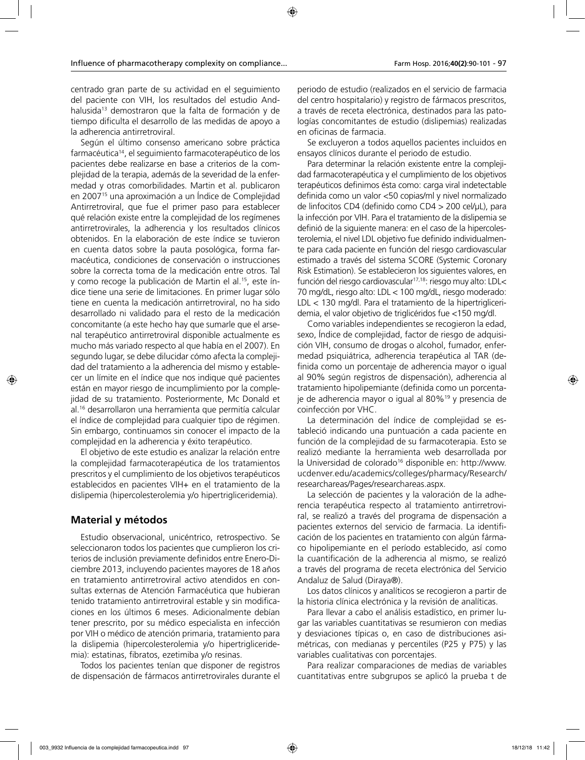centrado gran parte de su actividad en el seguimiento del paciente con VIH, los resultados del estudio Andhalusida<sup>13</sup> demostraron que la falta de formación y de tiempo dificulta el desarrollo de las medidas de apoyo a la adherencia antirretroviral.

Según el último consenso americano sobre práctica farmacéutica14, el seguimiento farmacoterapéutico de los pacientes debe realizarse en base a criterios de la complejidad de la terapia, además de la severidad de la enfermedad y otras comorbilidades. Martin et al. publicaron en 200715 una aproximación a un Índice de Complejidad Antirretroviral, que fue el primer paso para establecer qué relación existe entre la complejidad de los regímenes antirretrovirales, la adherencia y los resultados clínicos obtenidos. En la elaboración de este índice se tuvieron en cuenta datos sobre la pauta posológica, forma farmacéutica, condiciones de conservación o instrucciones sobre la correcta toma de la medicación entre otros. Tal y como recoge la publicación de Martin el al.15, este índice tiene una serie de limitaciones. En primer lugar sólo tiene en cuenta la medicación antirretroviral, no ha sido desarrollado ni validado para el resto de la medicación concomitante (a este hecho hay que sumarle que el arsenal terapéutico antirretroviral disponible actualmente es mucho más variado respecto al que había en el 2007). En segundo lugar, se debe dilucidar cómo afecta la complejidad del tratamiento a la adherencia del mismo y establecer un límite en el índice que nos indique qué pacientes están en mayor riesgo de incumplimiento por la complejidad de su tratamiento. Posteriormente, Mc Donald et al.16 desarrollaron una herramienta que permitía calcular el índice de complejidad para cualquier tipo de régimen. Sin embargo, continuamos sin conocer el impacto de la complejidad en la adherencia y éxito terapéutico.

El objetivo de este estudio es analizar la relación entre la complejidad farmacoterapéutica de los tratamientos prescritos y el cumplimiento de los objetivos terapéuticos establecidos en pacientes VIH+ en el tratamiento de la dislipemia (hipercolesterolemia y/o hipertrigliceridemia).

# **Material y métodos**

Estudio observacional, unicéntrico, retrospectivo. Se seleccionaron todos los pacientes que cumplieron los criterios de inclusión previamente definidos entre Enero-Diciembre 2013, incluyendo pacientes mayores de 18 años en tratamiento antirretroviral activo atendidos en consultas externas de Atención Farmacéutica que hubieran tenido tratamiento antirretroviral estable y sin modificaciones en los últimos 6 meses. Adicionalmente debían tener prescrito, por su médico especialista en infección por VIH o médico de atención primaria, tratamiento para la dislipemia (hipercolesterolemia y/o hipertrigliceridemia): estatinas, fibratos, ezetimiba y/o resinas.

Todos los pacientes tenían que disponer de registros de dispensación de fármacos antirretrovirales durante el periodo de estudio (realizados en el servicio de farmacia del centro hospitalario) y registro de fármacos prescritos, a través de receta electrónica, destinados para las patologías concomitantes de estudio (dislipemias) realizadas en oficinas de farmacia.

Se excluyeron a todos aquellos pacientes incluidos en ensayos clínicos durante el periodo de estudio.

Para determinar la relación existente entre la complejidad farmacoterapéutica y el cumplimiento de los objetivos terapéuticos definimos ésta como: carga viral indetectable definida como un valor <50 copias/ml y nivel normalizado de linfocitos CD4 (definido como CD4 > 200 cel/µL), para la infección por VIH. Para el tratamiento de la dislipemia se definió de la siguiente manera: en el caso de la hipercolesterolemia, el nivel LDL objetivo fue definido individualmente para cada paciente en función del riesgo cardiovascular estimado a través del sistema SCORE (Systemic Coronary Risk Estimation). Se establecieron los siguientes valores, en función del riesgo cardiovascular<sup>17,18</sup>: riesgo muy alto: LDL< 70 mg/dL, riesgo alto: LDL < 100 mg/dL, riesgo moderado: LDL < 130 mg/dl. Para el tratamiento de la hipertrigliceridemia, el valor objetivo de triglicéridos fue <150 mg/dl.

Como variables independientes se recogieron la edad, sexo, Índice de complejidad, factor de riesgo de adquisición VIH, consumo de drogas o alcohol, fumador, enfermedad psiquiátrica, adherencia terapéutica al TAR (definida como un porcentaje de adherencia mayor o igual al 90% según registros de dispensación), adherencia al tratamiento hipolipemiante (definida como un porcentaje de adherencia mayor o igual al 80%19 y presencia de coinfección por VHC.

La determinación del índice de complejidad se estableció indicando una puntuación a cada paciente en función de la complejidad de su farmacoterapia. Esto se realizó mediante la herramienta web desarrollada por la Universidad de colorado<sup>16</sup> disponible en: http://www. ucdenver.edu/academics/colleges/pharmacy/Research/ researchareas/Pages/researchareas.aspx.

La selección de pacientes y la valoración de la adherencia terapéutica respecto al tratamiento antirretroviral, se realizó a través del programa de dispensación a pacientes externos del servicio de farmacia. La identificación de los pacientes en tratamiento con algún fármaco hipolipemiante en el período establecido, así como la cuantificación de la adherencia al mismo, se realizó a través del programa de receta electrónica del Servicio Andaluz de Salud (Diraya®).

Los datos clínicos y analíticos se recogieron a partir de la historia clínica electrónica y la revisión de analíticas.

Para llevar a cabo el análisis estadístico, en primer lugar las variables cuantitativas se resumieron con medias y desviaciones típicas o, en caso de distribuciones asimétricas, con medianas y percentiles (P25 y P75) y las variables cualitativas con porcentajes.

Para realizar comparaciones de medias de variables cuantitativas entre subgrupos se aplicó la prueba t de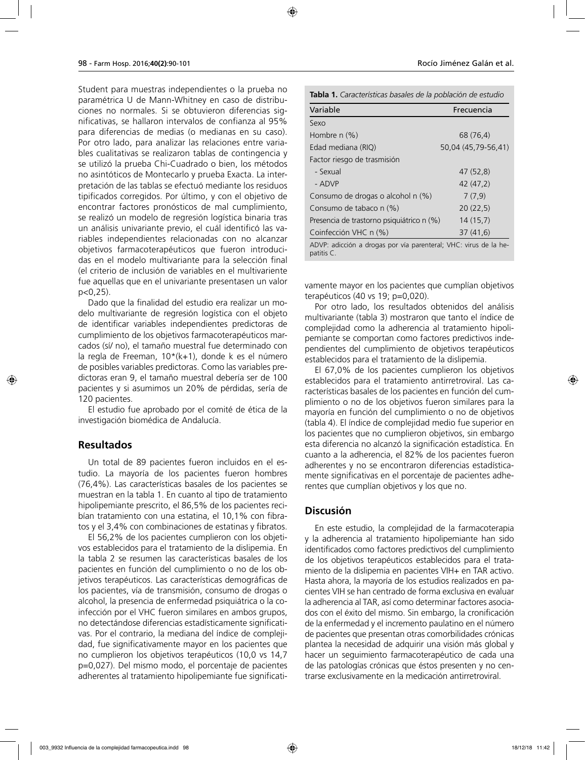Student para muestras independientes o la prueba no paramétrica U de Mann-Whitney en caso de distribuciones no normales. Si se obtuvieron diferencias significativas, se hallaron intervalos de confianza al 95% para diferencias de medias (o medianas en su caso). Por otro lado, para analizar las relaciones entre variables cualitativas se realizaron tablas de contingencia y se utilizó la prueba Chi-Cuadrado o bien, los métodos no asintóticos de Montecarlo y prueba Exacta. La interpretación de las tablas se efectuó mediante los residuos tipificados corregidos. Por último, y con el objetivo de encontrar factores pronósticos de mal cumplimiento, se realizó un modelo de regresión logística binaria tras un análisis univariante previo, el cuál identificó las variables independientes relacionadas con no alcanzar objetivos farmacoterapéuticos que fueron introducidas en el modelo multivariante para la selección final (el criterio de inclusión de variables en el multivariente fue aquellas que en el univariante presentasen un valor p<0,25).

Dado que la finalidad del estudio era realizar un modelo multivariante de regresión logística con el objeto de identificar variables independientes predictoras de cumplimiento de los objetivos farmacoterapéuticos marcados (sí/ no), el tamaño muestral fue determinado con la regla de Freeman, 10\*(k+1), donde k es el número de posibles variables predictoras. Como las variables predictoras eran 9, el tamaño muestral debería ser de 100 pacientes y si asumimos un 20% de pérdidas, sería de 120 pacientes.

El estudio fue aprobado por el comité de ética de la investigación biomédica de Andalucía.

#### **Resultados**

Un total de 89 pacientes fueron incluidos en el estudio. La mayoría de los pacientes fueron hombres (76,4%). Las características basales de los pacientes se muestran en la tabla 1. En cuanto al tipo de tratamiento hipolipemiante prescrito, el 86,5% de los pacientes recibían tratamiento con una estatina, el 10,1% con fibratos y el 3,4% con combinaciones de estatinas y fibratos.

El 56,2% de los pacientes cumplieron con los objetivos establecidos para el tratamiento de la dislipemia. En la tabla 2 se resumen las características basales de los pacientes en función del cumplimiento o no de los objetivos terapéuticos. Las características demográficas de los pacientes, vía de transmisión, consumo de drogas o alcohol, la presencia de enfermedad psiquiátrica o la coinfección por el VHC fueron similares en ambos grupos, no detectándose diferencias estadísticamente significativas. Por el contrario, la mediana del índice de complejidad, fue significativamente mayor en los pacientes que no cumplieron los objetivos terapéuticos (10,0 vs 14,7 p=0,027). Del mismo modo, el porcentaje de pacientes adherentes al tratamiento hipolipemiante fue significati-

| <b>Tabla 1.</b> Características basales de la población de estudio |  |  |  |
|--------------------------------------------------------------------|--|--|--|
|--------------------------------------------------------------------|--|--|--|

| Frecuencia                                            |
|-------------------------------------------------------|
|                                                       |
| 68 (76,4)                                             |
| 50,04 (45,79-56,41)                                   |
|                                                       |
| 47 (52,8)                                             |
| 42 (47.2)                                             |
| 7(7,9)                                                |
| 20(22,5)                                              |
| Presencia de trastorno psiguiátrico n (%)<br>14(15,7) |
| 37(41,6)                                              |
|                                                       |

ADVP: adicción a drogas por vía parenteral; VHC: virus de la hepatitis C.

vamente mayor en los pacientes que cumplían objetivos terapéuticos (40 vs 19; p=0,020).

Por otro lado, los resultados obtenidos del análisis multivariante (tabla 3) mostraron que tanto el índice de complejidad como la adherencia al tratamiento hipolipemiante se comportan como factores predictivos independientes del cumplimiento de objetivos terapéuticos establecidos para el tratamiento de la dislipemia.

El 67,0% de los pacientes cumplieron los objetivos establecidos para el tratamiento antirretroviral. Las características basales de los pacientes en función del cumplimiento o no de los objetivos fueron similares para la mayoría en función del cumplimiento o no de objetivos (tabla 4). El índice de complejidad medio fue superior en los pacientes que no cumplieron objetivos, sin embargo esta diferencia no alcanzó la significación estadística. En cuanto a la adherencia, el 82% de los pacientes fueron adherentes y no se encontraron diferencias estadísticamente significativas en el porcentaje de pacientes adherentes que cumplían objetivos y los que no.

## **Discusión**

En este estudio, la complejidad de la farmacoterapia y la adherencia al tratamiento hipolipemiante han sido identificados como factores predictivos del cumplimiento de los objetivos terapéuticos establecidos para el tratamiento de la dislipemia en pacientes VIH+ en TAR activo. Hasta ahora, la mayoría de los estudios realizados en pacientes VIH se han centrado de forma exclusiva en evaluar la adherencia al TAR, así como determinar factores asociados con el éxito del mismo. Sin embargo, la cronificación de la enfermedad y el incremento paulatino en el número de pacientes que presentan otras comorbilidades crónicas plantea la necesidad de adquirir una visión más global y hacer un seguimiento farmacoterapéutico de cada una de las patologías crónicas que éstos presenten y no centrarse exclusivamente en la medicación antirretroviral.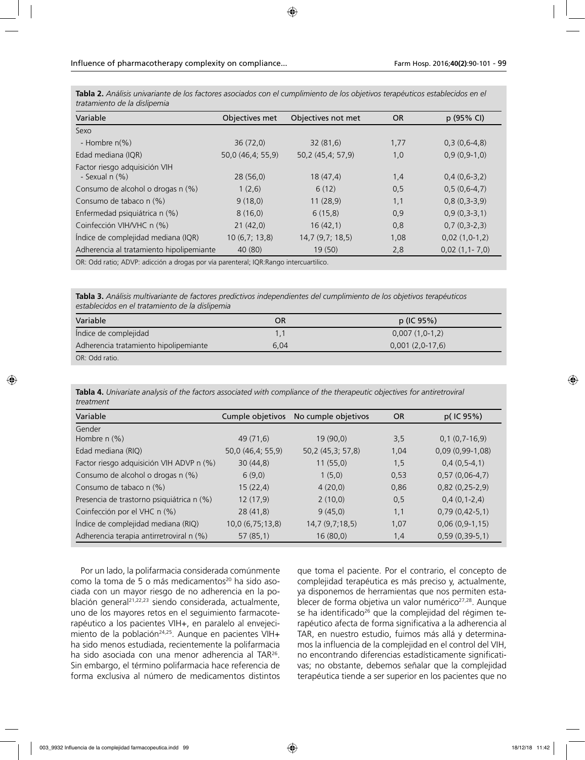| Variable                                                                              | Objectives met    | Objectives not met | <b>OR</b> | p (95% CI)      |
|---------------------------------------------------------------------------------------|-------------------|--------------------|-----------|-----------------|
| Sexo                                                                                  |                   |                    |           |                 |
| - Hombre $n(\%)$                                                                      | 36(72,0)          | 32(81,6)           | 1,77      | $0,3(0,6-4,8)$  |
| Edad mediana (IQR)                                                                    | 50,0 (46,4; 55,9) | 50,2 (45,4; 57,9)  | 1,0       | $0,9(0,9-1,0)$  |
| Factor riesgo adquisición VIH<br>- Sexual $n$ $(\%)$                                  | 28(56,0)          | 18(47,4)           | 1,4       | $0,4(0,6-3,2)$  |
| Consumo de alcohol o drogas n (%)                                                     | 1(2,6)            | 6(12)              | 0,5       | $0.5(0.6-4.7)$  |
| Consumo de tabaco n (%)                                                               | 9(18,0)           | 11(28,9)           | 1,1       | $0,8(0,3-3,9)$  |
| Enfermedad psiquiátrica n (%)                                                         | 8(16,0)           | 6(15,8)            | 0,9       | $0.9(0.3-3.1)$  |
| Coinfección VIH/VHC n (%)                                                             | 21(42,0)          | 16(42,1)           | 0,8       | $0,7(0,3-2,3)$  |
| Índice de complejidad mediana (IQR)                                                   | 10(6,7; 13,8)     | 14,7(9,7;18,5)     | 1,08      | $0,02(1,0-1,2)$ |
| Adherencia al tratamiento hipolipemiante                                              | 40 (80)           | 19 (50)            | 2,8       | $0,02(1,1-7,0)$ |
| OR: Odd ratio: ADVP: adicción a drogas por vía parenteral: IOR: Rango intercuartilico |                   |                    |           |                 |

**Tabla 2.** *Análisis univariante de los factores asociados con el cumplimiento de los objetivos terapéuticos establecidos en el tratamiento de la dislipemia*

OR: Odd ratio; ADVP: adicción a drogas por vía parenteral; IQR:Rango intercuartilico.

**Tabla 3.** *Análisis multivariante de factores predictivos independientes del cumplimiento de los objetivos terapéuticos establecidos en el tratamiento de la dislipemia*

| Variable                              | OR   | p (IC 95%)        |
|---------------------------------------|------|-------------------|
| Índice de complejidad                 |      | $0,007(1,0-1,2)$  |
| Adherencia tratamiento hipolipemiante | 6.04 | $0,001(2,0-17,6)$ |
| OR: Odd ratio.                        |      |                   |

**Tabla 4.** *Univariate analysis of the factors associated with compliance of the therapeutic objectives for antiretroviral treatment* 

| Variable                                  | Cumple objetivos  | No cumple objetivos | <b>OR</b> | $p($ IC 95%)      |
|-------------------------------------------|-------------------|---------------------|-----------|-------------------|
| Gender<br>Hombre $n$ $(\%)$               | 49 (71,6)         | 19(90,0)            | 3,5       | $0,1(0,7-16,9)$   |
| Edad mediana (RIQ)                        | 50,0 (46,4; 55,9) | 50,2 (45,3; 57,8)   | 1,04      | $0,09(0,99-1,08)$ |
| Factor riesgo adquisición VIH ADVP n (%)  | 30(44,8)          | 11(55,0)            | 1,5       | $0,4(0,5-4,1)$    |
| Consumo de alcohol o drogas n (%)         | 6(9,0)            | 1(5,0)              | 0,53      | $0,57(0,06-4,7)$  |
| Consumo de tabaco n (%)                   | 15(22,4)          | 4(20,0)             | 0,86      | $0,82(0,25-2,9)$  |
| Presencia de trastorno psiquiátrica n (%) | 12(17,9)          | 2(10,0)             | 0,5       | $0,4(0,1-2,4)$    |
| Coinfección por el VHC n (%)              | 28(41,8)          | 9(45,0)             | 1,1       | $0,79(0,42-5,1)$  |
| Índice de complejidad mediana (RIQ)       | 10,0(6,75;13,8)   | 14,7(9,7;18,5)      | 1,07      | $0,06(0,9-1,15)$  |
| Adherencia terapia antirretroviral n (%)  | 57(85,1)          | 16(80,0)            | 1,4       | $0,59(0,39-5,1)$  |

Por un lado, la polifarmacia considerada comúnmente como la toma de 5 o más medicamentos<sup>20</sup> ha sido asociada con un mayor riesgo de no adherencia en la población general<sup>21,22,23</sup> siendo considerada, actualmente, uno de los mayores retos en el seguimiento farmacoterapéutico a los pacientes VIH+, en paralelo al envejecimiento de la población<sup>24,25</sup>. Aunque en pacientes VIH+ ha sido menos estudiada, recientemente la polifarmacia ha sido asociada con una menor adherencia al TAR<sup>26</sup>. Sin embargo, el término polifarmacia hace referencia de forma exclusiva al número de medicamentos distintos

que toma el paciente. Por el contrario, el concepto de complejidad terapéutica es más preciso y, actualmente, ya disponemos de herramientas que nos permiten establecer de forma objetiva un valor numérico<sup>27,28</sup>. Aunque se ha identificado<sup>26</sup> que la complejidad del régimen terapéutico afecta de forma significativa a la adherencia al TAR, en nuestro estudio, fuimos más allá y determinamos la influencia de la complejidad en el control del VIH, no encontrando diferencias estadísticamente significativas; no obstante, debemos señalar que la complejidad terapéutica tiende a ser superior en los pacientes que no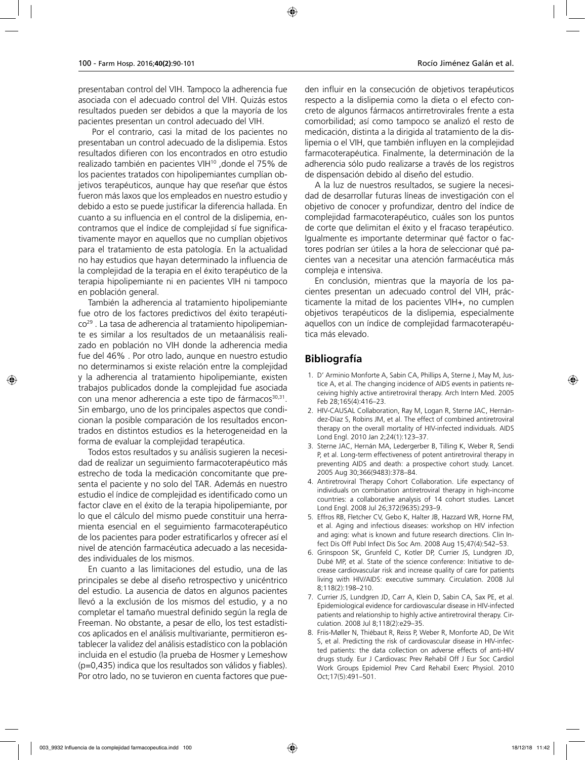presentaban control del VIH. Tampoco la adherencia fue asociada con el adecuado control del VIH. Quizás estos resultados pueden ser debidos a que la mayoría de los pacientes presentan un control adecuado del VIH.

 Por el contrario, casi la mitad de los pacientes no presentaban un control adecuado de la dislipemia. Estos resultados difieren con los encontrados en otro estudio realizado también en pacientes VIH10 ,donde el 75% de los pacientes tratados con hipolipemiantes cumplían objetivos terapéuticos, aunque hay que reseñar que éstos fueron más laxos que los empleados en nuestro estudio y debido a esto se puede justificar la diferencia hallada. En cuanto a su influencia en el control de la dislipemia, encontramos que el índice de complejidad sí fue significativamente mayor en aquellos que no cumplían objetivos para el tratamiento de esta patología. En la actualidad no hay estudios que hayan determinado la influencia de la complejidad de la terapia en el éxito terapéutico de la terapia hipolipemiante ni en pacientes VIH ni tampoco en población general.

También la adherencia al tratamiento hipolipemiante fue otro de los factores predictivos del éxito terapéutico29 . La tasa de adherencia al tratamiento hipolipemiante es similar a los resultados de un metaanálisis realizado en población no VIH donde la adherencia media fue del 46% . Por otro lado, aunque en nuestro estudio no determinamos si existe relación entre la complejidad y la adherencia al tratamiento hipolipemiante, existen trabajos publicados donde la complejidad fue asociada con una menor adherencia a este tipo de fármacos<sup>30,31</sup>. Sin embargo, uno de los principales aspectos que condicionan la posible comparación de los resultados encontrados en distintos estudios es la heterogeneidad en la forma de evaluar la complejidad terapéutica.

Todos estos resultados y su análisis sugieren la necesidad de realizar un seguimiento farmacoterapéutico más estrecho de toda la medicación concomitante que presenta el paciente y no solo del TAR. Además en nuestro estudio el índice de complejidad es identificado como un factor clave en el éxito de la terapia hipolipemiante, por lo que el cálculo del mismo puede constituir una herramienta esencial en el seguimiento farmacoterapéutico de los pacientes para poder estratificarlos y ofrecer así el nivel de atención farmacéutica adecuado a las necesidades individuales de los mismos.

En cuanto a las limitaciones del estudio, una de las principales se debe al diseño retrospectivo y unicéntrico del estudio. La ausencia de datos en algunos pacientes llevó a la exclusión de los mismos del estudio, y a no completar el tamaño muestral definido según la regla de Freeman. No obstante, a pesar de ello, los test estadísticos aplicados en el análisis multivariante, permitieron establecer la validez del análisis estadístico con la población incluida en el estudio (la prueba de Hosmer y Lemeshow (p=0,435) indica que los resultados son válidos y fiables). Por otro lado, no se tuvieron en cuenta factores que pueden influir en la consecución de objetivos terapéuticos respecto a la dislipemia como la dieta o el efecto concreto de algunos fármacos antirretrovirales frente a esta comorbilidad; así como tampoco se analizó el resto de medicación, distinta a la dirigida al tratamiento de la dislipemia o el VIH, que también influyen en la complejidad farmacoterapéutica. Finalmente, la determinación de la

de dispensación debido al diseño del estudio. A la luz de nuestros resultados, se sugiere la necesidad de desarrollar futuras líneas de investigación con el objetivo de conocer y profundizar, dentro del índice de complejidad farmacoterapéutico, cuáles son los puntos de corte que delimitan el éxito y el fracaso terapéutico. Igualmente es importante determinar qué factor o factores podrían ser útiles a la hora de seleccionar qué pacientes van a necesitar una atención farmacéutica más compleja e intensiva.

adherencia sólo pudo realizarse a través de los registros

En conclusión, mientras que la mayoría de los pacientes presentan un adecuado control del VIH, prácticamente la mitad de los pacientes VIH+, no cumplen objetivos terapéuticos de la dislipemia, especialmente aquellos con un índice de complejidad farmacoterapéutica más elevado.

# **Bibliografía**

- 1. D' Arminio Monforte A, Sabin CA, Phillips A, Sterne J, May M, Justice A, et al. The changing incidence of AIDS events in patients receiving highly active antiretroviral therapy. Arch Intern Med. 2005 Feb 28;165(4):416–23.
- 2. HIV-CAUSAL Collaboration, Ray M, Logan R, Sterne JAC, Hernández-Díaz S, Robins JM, et al. The effect of combined antiretroviral therapy on the overall mortality of HIV-infected individuals. AIDS Lond Engl. 2010 Jan 2;24(1):123–37.
- 3. Sterne JAC, Hernán MA, Ledergerber B, Tilling K, Weber R, Sendi P, et al. Long-term effectiveness of potent antiretroviral therapy in preventing AIDS and death: a prospective cohort study. Lancet. 2005 Aug 30;366(9483):378–84.
- 4. Antiretroviral Therapy Cohort Collaboration. Life expectancy of individuals on combination antiretroviral therapy in high-income countries: a collaborative analysis of 14 cohort studies. Lancet Lond Engl. 2008 Jul 26;372(9635):293–9.
- 5. Effros RB, Fletcher CV, Gebo K, Halter JB, Hazzard WR, Horne FM, et al. Aging and infectious diseases: workshop on HIV infection and aging: what is known and future research directions. Clin Infect Dis Off Publ Infect Dis Soc Am. 2008 Aug 15;47(4):542–53.
- 6. Grinspoon SK, Grunfeld C, Kotler DP, Currier JS, Lundgren JD, Dubé MP, et al. State of the science conference: Initiative to decrease cardiovascular risk and increase quality of care for patients living with HIV/AIDS: executive summary. Circulation. 2008 Jul 8;118(2):198–210.
- 7. Currier JS, Lundgren JD, Carr A, Klein D, Sabin CA, Sax PE, et al. Epidemiological evidence for cardiovascular disease in HIV-infected patients and relationship to highly active antiretroviral therapy. Circulation. 2008 Jul 8;118(2):e29–35.
- 8. Friis-Møller N, Thiébaut R, Reiss P, Weber R, Monforte AD, De Wit S, et al. Predicting the risk of cardiovascular disease in HIV-infected patients: the data collection on adverse effects of anti-HIV drugs study. Eur J Cardiovasc Prev Rehabil Off J Eur Soc Cardiol Work Groups Epidemiol Prev Card Rehabil Exerc Physiol. 2010 Oct;17(5):491–501.